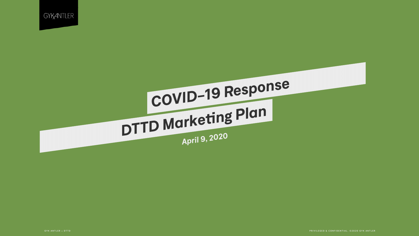

# *COVID-19 Response DTTD Marke<sup>t</sup>ng Plan April 9, 2020*

**GYK ANTLER + DTTD PRIVILEGED & CONFIDENTIAL. ©2020 GYK ANTLER**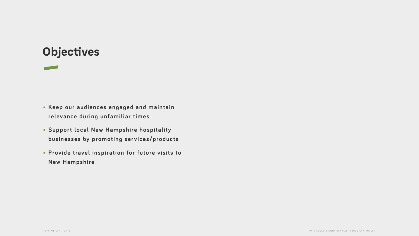- **• Keep our audiences engaged and maintain relevance during unfamiliar times**
- **• Support local New Hampshire hospitality businesses by promoting services/products**
- **• Provide travel inspiration for future visits to New Hampshire**

# **Objectves**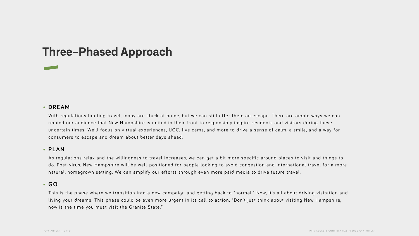#### • **DREAM**

With regulations limiting travel, many are stuck at home, but we can still offer them an escape. There are ample ways we can remind our audience that New Hampshire is united in their front to responsibly inspire residents and visitors during these uncertain times. We'll focus on virtual experiences, UGC, live cams, and more to drive a sense of calm, a smile, and a way for consumers to escape and dream about better days ahead.

#### • **PLAN**

As regulations relax and the willingness to travel increases, we can get a bit more specific around places to visit and things to do. Post-virus, New Hampshire will be well-positioned for people looking to avoid congestion and international travel for a more natural, homegrown setting. We can amplify our efforts through even more paid media to drive future travel.

#### • **GO**

This is the phase where we transition into a new campaign and getting back to "normal." Now, it's all about driving visitation and living your dreams. This phase could be even more urgent in its call to action. "Don't just think about visiting New Hampshire, now is the time you must visit the Granite State."

# **Three-Phased Approach**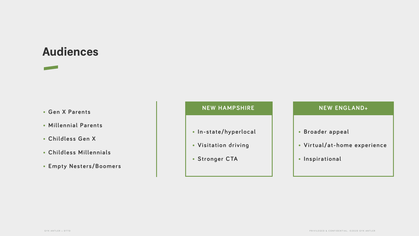



- **• Millennial Parents**
- **• Childless Gen X**
- **• Childless Millennials**
- **• Empty Nesters/Boomers**

#### NEW HAMPSHIRE **NEW ENGLAND+**

**• In-state/hyperlocal** 

**• Visitation driving**

**• Stronger CTA**

- **• Broader appeal**
- **• Virtual/at-home experience**
- **• Inspirational**

## **Audiences**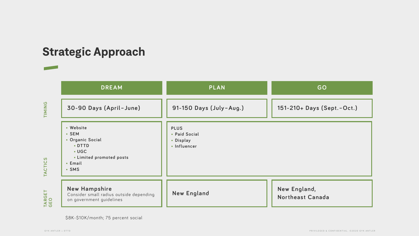

\$8K-\$10K/month; 75 percent social

# **Strategic Approach**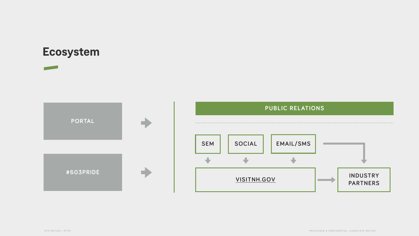**GYK ANTLER + DTTD**

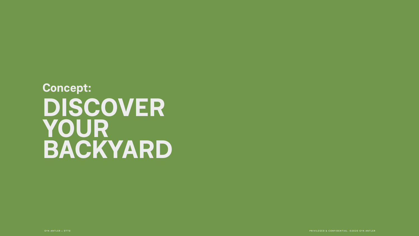**GYK ANTLER + DTTD**

# **Concept: DISCOVER YOUR BACKYARD**

**PRIVILEGED & CONFIDENTIAL. ©2020 GYK ANTLER**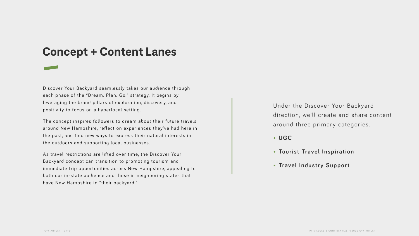- **• UGC**
- **• Tourist Travel Inspiration**
- **Travel Industry Support**

Under the Discover Your Backyard direction, we'll create and share content around three primary categories.

# **Concept + Content Lanes**

Discover Your Backyard seamlessly takes our audience through each phase of the "Dream. Plan. Go." strategy. It begins by leveraging the brand pillars of exploration, discovery, and positivity to focus on a hyperlocal setting.

The concept inspires followers to dream about their future travels around New Hampshire, reflect on experiences they've had here in the past, and find new ways to express their natural interests in the outdoors and supporting local businesses.

As travel restrictions are lifted over time, the Discover Your Backyard concept can transition to promoting tourism and immediate trip opportunities across New Hampshire, appealing to both our in-state audience and those in neighboring states that have New Hampshire in "their backyard."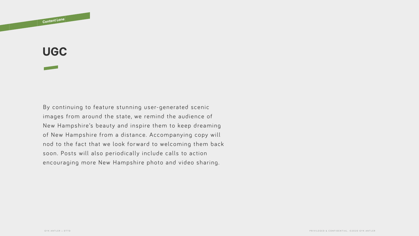By continuing to feature stunning user-generated scenic images from around the state, we remind the audience of New Hampshire's beauty and inspire them to keep dreaming of New Hampshire from a distance. Accompanying copy will nod to the fact that we look forward to welcoming them back soon. Posts will also periodically include calls to action encouraging more New Hampshire photo and video sharing.

- 
- 
- 
- 
- 
- 
- 

**UGC**

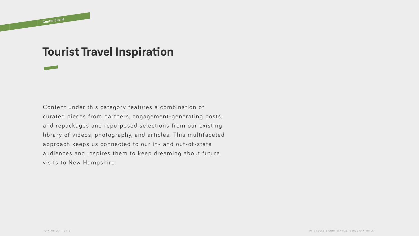Content under this category features a combination of curated pieces from partners, engagement-generating posts, and repackages and repurposed selections from our existing library of videos, photography, and articles. This multifaceted approach keeps us connected to our in- and out-of-state audiences and inspires them to keep dreaming about future visits to New Hampshire.

- 
- 
- 
- 
- 
- 

# **Tourist Travel Inspiration**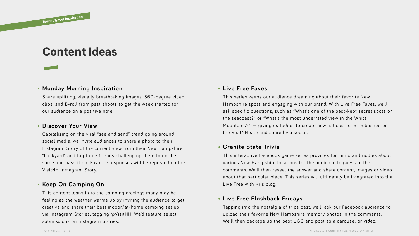# **Content Ideas**



#### • **Live Free Faves**

This series keeps our audience dreaming about their favorite New Hampshire spots and engaging with our brand. With Live Free Faves, we'll ask specific questions, such as "What's one of the best-kept secret spots on the seacoast?" or "What's the most underrated view in the White Mountains?" — giving us fodder to create new listicles to be published on the VisitNH site and shared via social.

#### • **Granite State Trivia**

This interactive Facebook game series provides fun hints and riddles about various New Hampshire locations for the audience to guess in the comments. We'll then reveal the answer and share content, images or video about that particular place. This series will ultimately be integrated into the Live Free with Kris blog.

#### • **Live Free Flashback Fridays**

Tapping into the nostalgia of trips past, we'll ask our Facebook audience to upload their favorite New Hampshire memory photos in the comments. We'll then package up the best UGC and post as a carousel or video.

#### • **Monday Morning Inspiration**

Share uplifting, visually breathtaking images, 360-degree video clips, and B-roll from past shoots to get the week started for our audience on a positive note.

#### • **Discover Your View**

Capitalizing on the viral "see and send" trend going around social media, we invite audiences to share a photo to their Instagram Story of the current view from their New Hampshire "backyard" and tag three friends challenging them to do the same and pass it on. Favorite responses will be reposted on the VisitNH Instagram Story.

#### **• Keep On Camping On**

This content leans in to the camping cravings many may be feeling as the weather warms up by inviting the audience to get creative and share their best indoor/at-home camping set up via Instagram Stories, tagging @VisitNH. We'd feature select submissions on Instagram Stories.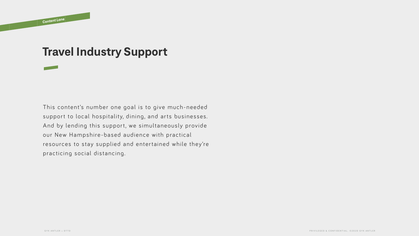This content's number one goal is to give much-needed support to local hospitality, dining, and arts businesses. And by lending this support, we simultaneously provide our New Hampshire-based audience with practical resources to stay supplied and entertained while they're practicing social distancing.

- 
- 
- 
- 

# **Travel Industry Support**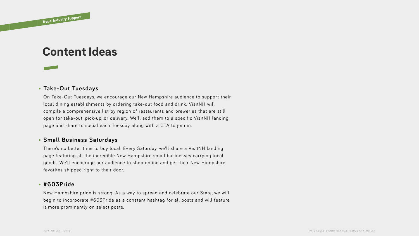# **Content Ideas**



#### • **Take-Out Tuesdays**

On Take-Out Tuesdays, we encourage our New Hampshire audience to support their local dining establishments by ordering take-out food and drink. VisitNH will compile a comprehensive list by region of restaurants and breweries that are still open for take-out, pick-up, or delivery. We'll add them to a specific VisitNH landing page and share to social each Tuesday along with a CTA to join in.

#### • **Small Business Saturdays**

There's no better time to buy local. Every Saturday, we'll share a VisitNH landing page featuring all the incredible New Hampshire small businesses carrying local goods. We'll encourage our audience to shop online and get their New Hampshire favorites shipped right to their door.

#### • **#603Pride**

New Hampshire pride is strong. As a way to spread and celebrate our State, we will begin to incorporate #603Pride as a constant hashtag for all posts and will feature it more prominently on select posts.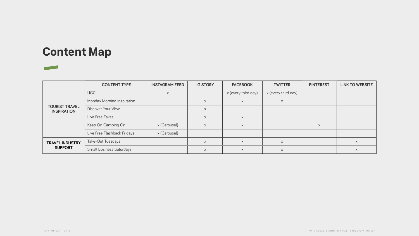# **Content Map**

**Contract Contract** 

| <b>TOURIST TRAVEL</b><br><b>INSPIRATION</b> | <b>CONTENT TYPE</b>               | <b>INSTAGRAM FEED</b> | <b>IG STORY</b>  | <b>FACEBOOK</b>     | <b>TWITTER</b>      | <b>PINTEREST</b> | <b>LINK TO WEBSITE</b> |
|---------------------------------------------|-----------------------------------|-----------------------|------------------|---------------------|---------------------|------------------|------------------------|
|                                             | <b>UGC</b>                        |                       |                  | x (every third day) | x (every third day) |                  |                        |
|                                             | <b>Monday Morning Inspiration</b> |                       | $\boldsymbol{X}$ | $\mathsf{X}$        | $\times$            |                  |                        |
|                                             | <b>Discover Your View</b>         |                       | $\boldsymbol{X}$ |                     |                     |                  |                        |
|                                             | Live Free Faves                   |                       | $\sf X$          | $\mathsf{X}$        |                     |                  |                        |
|                                             | Keep On Camping On                | x (Carousel)          | $\boldsymbol{X}$ | $\mathsf{X}$        |                     | $\mathsf{X}$     |                        |
|                                             | Live Free Flashback Fridays       | x (Carousel)          |                  |                     |                     |                  |                        |
| <b>TRAVEL INDUSTRY</b><br><b>SUPPORT</b>    | Take-Out Tuesdays                 |                       | $\sf X$          | $\mathsf{X}$        | $\times$            |                  | X                      |
|                                             | <b>Small Business Saturdays</b>   |                       | $\times$         | $\times$            | $\times$            |                  | X                      |